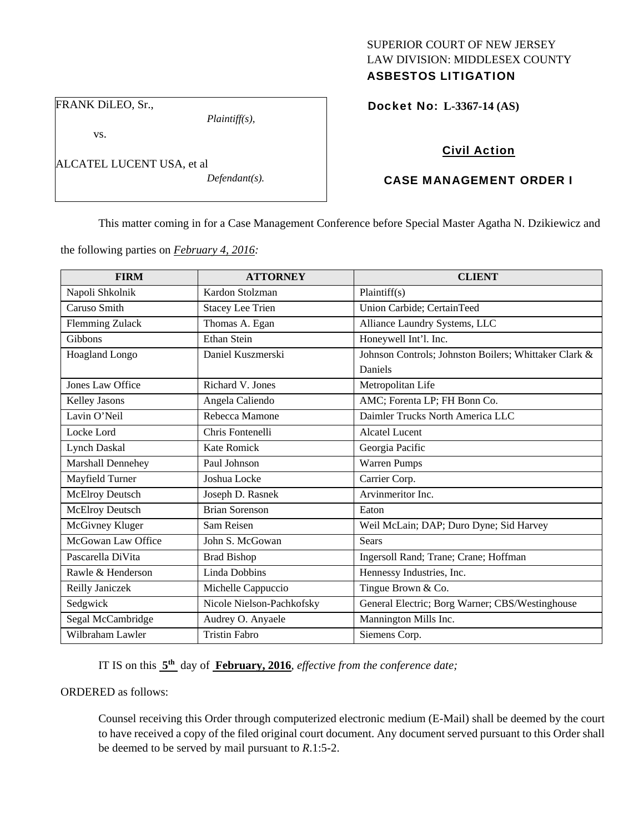## SUPERIOR COURT OF NEW JERSEY LAW DIVISION: MIDDLESEX COUNTY ASBESTOS LITIGATION

FRANK DiLEO, Sr.,

vs.

ALCATEL LUCENT USA, et al

*Defendant(s).* 

*Plaintiff(s),* 

Docket No: **L-3367-14 (AS)** 

# Civil Action

# CASE MANAGEMENT ORDER I

This matter coming in for a Case Management Conference before Special Master Agatha N. Dzikiewicz and

the following parties on *February 4, 2016:* 

| <b>FIRM</b>            | <b>ATTORNEY</b>           | <b>CLIENT</b>                                         |
|------------------------|---------------------------|-------------------------------------------------------|
| Napoli Shkolnik        | Kardon Stolzman           | Plaintiff(s)                                          |
| Caruso Smith           | <b>Stacey Lee Trien</b>   | Union Carbide; CertainTeed                            |
| <b>Flemming Zulack</b> | Thomas A. Egan            | Alliance Laundry Systems, LLC                         |
| <b>Gibbons</b>         | <b>Ethan Stein</b>        | Honeywell Int'l. Inc.                                 |
| Hoagland Longo         | Daniel Kuszmerski         | Johnson Controls; Johnston Boilers; Whittaker Clark & |
|                        |                           | Daniels                                               |
| Jones Law Office       | Richard V. Jones          | Metropolitan Life                                     |
| Kelley Jasons          | Angela Caliendo           | AMC; Forenta LP; FH Bonn Co.                          |
| Lavin O'Neil           | Rebecca Mamone            | Daimler Trucks North America LLC                      |
| Locke Lord             | Chris Fontenelli          | <b>Alcatel Lucent</b>                                 |
| <b>Lynch Daskal</b>    | <b>Kate Romick</b>        | Georgia Pacific                                       |
| Marshall Dennehey      | Paul Johnson              | <b>Warren Pumps</b>                                   |
| Mayfield Turner        | Joshua Locke              | Carrier Corp.                                         |
| McElroy Deutsch        | Joseph D. Rasnek          | Arvinmeritor Inc.                                     |
| McElroy Deutsch        | <b>Brian Sorenson</b>     | Eaton                                                 |
| McGivney Kluger        | Sam Reisen                | Weil McLain; DAP; Duro Dyne; Sid Harvey               |
| McGowan Law Office     | John S. McGowan           | Sears                                                 |
| Pascarella DiVita      | <b>Brad Bishop</b>        | Ingersoll Rand; Trane; Crane; Hoffman                 |
| Rawle & Henderson      | Linda Dobbins             | Hennessy Industries, Inc.                             |
| Reilly Janiczek        | Michelle Cappuccio        | Tingue Brown & Co.                                    |
| Sedgwick               | Nicole Nielson-Pachkofsky | General Electric; Borg Warner; CBS/Westinghouse       |
| Segal McCambridge      | Audrey O. Anyaele         | Mannington Mills Inc.                                 |
| Wilbraham Lawler       | <b>Tristin Fabro</b>      | Siemens Corp.                                         |

IT IS on this **5th** day of **February, 2016**, *effective from the conference date;*

ORDERED as follows:

Counsel receiving this Order through computerized electronic medium (E-Mail) shall be deemed by the court to have received a copy of the filed original court document. Any document served pursuant to this Order shall be deemed to be served by mail pursuant to *R*.1:5-2.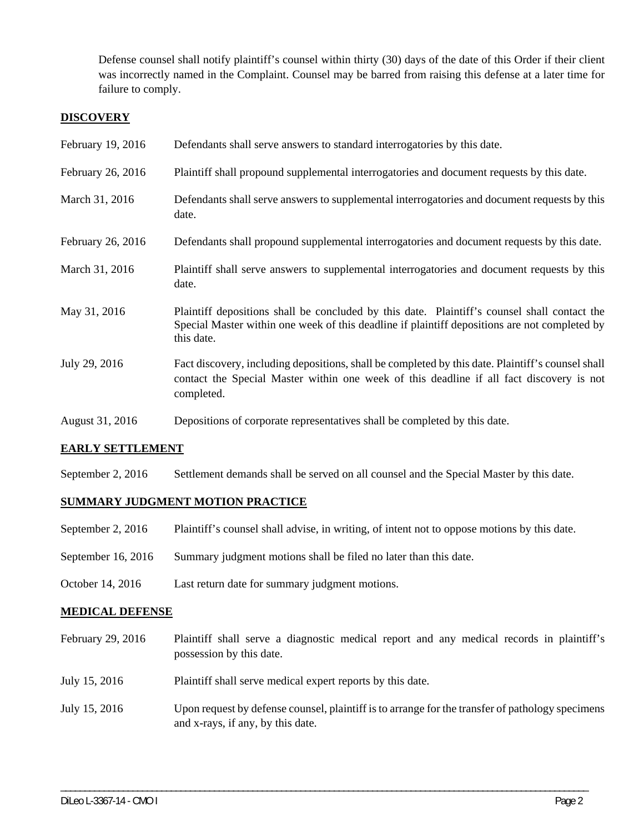Defense counsel shall notify plaintiff's counsel within thirty (30) days of the date of this Order if their client was incorrectly named in the Complaint. Counsel may be barred from raising this defense at a later time for failure to comply.

## **DISCOVERY**

| February 19, 2016 | Defendants shall serve answers to standard interrogatories by this date.                                                                                                                                    |
|-------------------|-------------------------------------------------------------------------------------------------------------------------------------------------------------------------------------------------------------|
| February 26, 2016 | Plaintiff shall propound supplemental interrogatories and document requests by this date.                                                                                                                   |
| March 31, 2016    | Defendants shall serve answers to supplemental interrogatories and document requests by this<br>date.                                                                                                       |
| February 26, 2016 | Defendants shall propound supplemental interrogatories and document requests by this date.                                                                                                                  |
| March 31, 2016    | Plaintiff shall serve answers to supplemental interrogatories and document requests by this<br>date.                                                                                                        |
| May 31, 2016      | Plaintiff depositions shall be concluded by this date. Plaintiff's counsel shall contact the<br>Special Master within one week of this deadline if plaintiff depositions are not completed by<br>this date. |
| July 29, 2016     | Fact discovery, including depositions, shall be completed by this date. Plaintiff's counsel shall<br>contact the Special Master within one week of this deadline if all fact discovery is not<br>completed. |
| August 31, 2016   | Depositions of corporate representatives shall be completed by this date.                                                                                                                                   |

## **EARLY SETTLEMENT**

September 2, 2016 Settlement demands shall be served on all counsel and the Special Master by this date.

## **SUMMARY JUDGMENT MOTION PRACTICE**

- September 2, 2016 Plaintiff's counsel shall advise, in writing, of intent not to oppose motions by this date.
- September 16, 2016 Summary judgment motions shall be filed no later than this date.
- October 14, 2016 Last return date for summary judgment motions.

## **MEDICAL DEFENSE**

| February 29, 2016 | Plaintiff shall serve a diagnostic medical report and any medical records in plaintiff's<br>possession by this date.                  |
|-------------------|---------------------------------------------------------------------------------------------------------------------------------------|
| July 15, 2016     | Plaintiff shall serve medical expert reports by this date.                                                                            |
| July 15, 2016     | Upon request by defense counsel, plaintiff is to arrange for the transfer of pathology specimens<br>and x-rays, if any, by this date. |

\_\_\_\_\_\_\_\_\_\_\_\_\_\_\_\_\_\_\_\_\_\_\_\_\_\_\_\_\_\_\_\_\_\_\_\_\_\_\_\_\_\_\_\_\_\_\_\_\_\_\_\_\_\_\_\_\_\_\_\_\_\_\_\_\_\_\_\_\_\_\_\_\_\_\_\_\_\_\_\_\_\_\_\_\_\_\_\_\_\_\_\_\_\_\_\_\_\_\_\_\_\_\_\_\_\_\_\_\_\_